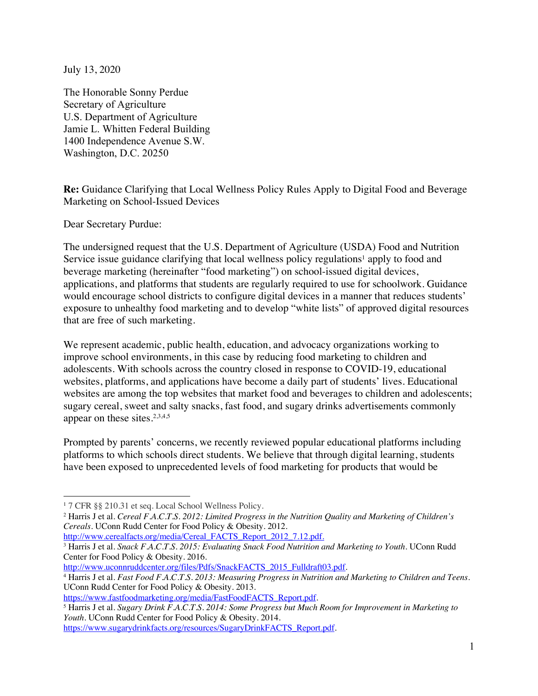July 13, 2020

The Honorable Sonny Perdue Secretary of Agriculture U.S. Department of Agriculture Jamie L. Whitten Federal Building 1400 Independence Avenue S.W. Washington, D.C. 20250

**Re:** Guidance Clarifying that Local Wellness Policy Rules Apply to Digital Food and Beverage Marketing on School-Issued Devices

Dear Secretary Purdue:

The undersigned request that the U.S. Department of Agriculture (USDA) Food and Nutrition Service issue guidance clarifying that local wellness policy regulations<sup>1</sup> apply to food and beverage marketing (hereinafter "food marketing") on school-issued digital devices, applications, and platforms that students are regularly required to use for schoolwork. Guidance would encourage school districts to configure digital devices in a manner that reduces students' exposure to unhealthy food marketing and to develop "white lists" of approved digital resources that are free of such marketing.

We represent academic, public health, education, and advocacy organizations working to improve school environments, in this case by reducing food marketing to children and adolescents. With schools across the country closed in response to COVID-19, educational websites, platforms, and applications have become a daily part of students' lives. Educational websites are among the top websites that market food and beverages to children and adolescents; sugary cereal, sweet and salty snacks, fast food, and sugary drinks advertisements commonly appear on these sites.<sup>2,3,4,5</sup>

Prompted by parents' concerns, we recently reviewed popular educational platforms including platforms to which schools direct students. We believe that through digital learning, students have been exposed to unprecedented levels of food marketing for products that would be

<sup>1</sup> 7 CFR §§ 210.31 et seq. Local School Wellness Policy.

<sup>2</sup> Harris J et al. *Cereal F.A.C.T.S. 2012: Limited Progress in the Nutrition Quality and Marketing of Children's Cereals*. UConn Rudd Center for Food Policy & Obesity. 2012.<br>
<u>http://www.cerealfacts.org/media/Cereal FACTS Report 2012 7.12.pdf.</u>

<sup>&</sup>lt;sup>3</sup> Harris J et al. *Snack F.A.C.T.S. 2015: Evaluating Snack Food Nutrition and Marketing to Youth. UConn Rudd* Center for Food Policy & Obesity. 2016.<br>http://www.uconnruddcenter.org/files/Pdfs/SnackFACTS 2015 Fulldraft03.pdf.

<sup>&</sup>lt;sup>4</sup> Harris J et al. *Fast Food F.A.C.T.S. 2013: Measuring Progress in Nutrition and Marketing to Children and Teens.* UConn Rudd Center for Food Policy & Obesity. 2013.

https://www.fastfoodmarketing.org/media/FastFoodFACTS\_Report.pdf. 5 Harris J et al. *Sugary Drink F.A.C.T.S. 2014: Some Progress but Much Room for Improvement in Marketing to Youth*. UConn Rudd Center for Food Policy & Obesity. 2014.

https://www.sugarydrinkfacts.org/resources/SugaryDrinkFACTS\_Report.pdf.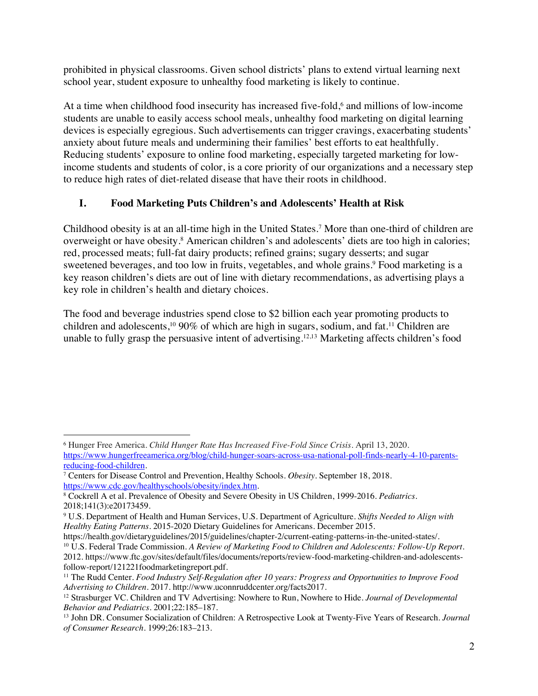prohibited in physical classrooms. Given school districts' plans to extend virtual learning next school year, student exposure to unhealthy food marketing is likely to continue.

At a time when childhood food insecurity has increased five-fold,<sup>6</sup> and millions of low-income students are unable to easily access school meals, unhealthy food marketing on digital learning devices is especially egregious. Such advertisements can trigger cravings, exacerbating students' anxiety about future meals and undermining their families' best efforts to eat healthfully. Reducing students' exposure to online food marketing, especially targeted marketing for lowincome students and students of color, is a core priority of our organizations and a necessary step to reduce high rates of diet-related disease that have their roots in childhood.

#### **I. Food Marketing Puts Children's and Adolescents' Health at Risk**

Childhood obesity is at an all-time high in the United States. <sup>7</sup> More than one-third of children are overweight or have obesity. <sup>8</sup> American children's and adolescents' diets are too high in calories; red, processed meats; full-fat dairy products; refined grains; sugary desserts; and sugar sweetened beverages, and too low in fruits, vegetables, and whole grains.<sup>9</sup> Food marketing is a key reason children's diets are out of line with dietary recommendations, as advertising plays a key role in children's health and dietary choices.

The food and beverage industries spend close to \$2 billion each year promoting products to children and adolescents,10 90% of which are high in sugars, sodium, and fat.11 Children are unable to fully grasp the persuasive intent of advertising. 12,13 Marketing affects children's food

<sup>6</sup> Hunger Free America. *Child Hunger Rate Has Increased Five-Fold Since Crisis*. April 13, 2020. https://www.hungerfreeamerica.org/blog/child-hunger-soars-across-usa-national-poll-finds-nearly-4-10-parentsreducing-food-children.

<sup>7</sup> Centers for Disease Control and Prevention, Healthy Schools. *Obesity*. September 18, 2018. https://www.cdc.gov/healthyschools/obesity/index.htm.

<sup>8</sup> Cockrell A et al. Prevalence of Obesity and Severe Obesity in US Children, 1999-2016. *Pediatrics*. 2018;141(3):e20173459.

<sup>9</sup> U.S. Department of Health and Human Services, U.S. Department of Agriculture. *Shifts Needed to Align with Healthy Eating Patterns*. 2015-2020 Dietary Guidelines for Americans. December 2015.

<sup>&</sup>lt;sup>10</sup> U.S. Federal Trade Commission. *A Review of Marketing Food to Children and Adolescents: Follow-Up Report.* 2012. https://www.ftc.gov/sites/default/files/documents/reports/review-food-marketing-children-and-adolescents-

follow-report/121221foodmarketingreport.pdf.<br><sup>11</sup> The Rudd Center. *Food Industry Self-Regulation after 10 years: Progress and Opportunities to Improve Food Advertising to Children. 2017. http://www.uconnruddcenter.org/fac* 

<sup>&</sup>lt;sup>12</sup> Strasburger VC. Children and TV Advertising: Nowhere to Run, Nowhere to Hide. *Journal of Developmental Behavior and Pediatrics*. 2001;22:185–187.

<sup>13</sup> John DR. Consumer Socialization of Children: A Retrospective Look at Twenty-Five Years of Research. *Journal of Consumer Research*. 1999;26:183–213.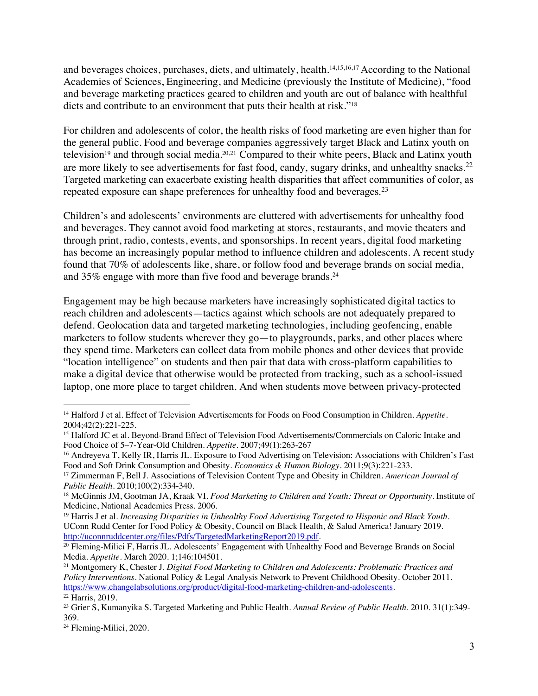and beverages choices, purchases, diets, and ultimately, health.14,15,16,17 According to the National Academies of Sciences, Engineering, and Medicine (previously the Institute of Medicine), "food and beverage marketing practices geared to children and youth are out of balance with healthful diets and contribute to an environment that puts their health at risk."18

For children and adolescents of color, the health risks of food marketing are even higher than for the general public. Food and beverage companies aggressively target Black and Latinx youth on television<sup>19</sup> and through social media.<sup>20,21</sup> Compared to their white peers, Black and Latinx youth are more likely to see advertisements for fast food, candy, sugary drinks, and unhealthy snacks.<sup>22</sup> Targeted marketing can exacerbate existing health disparities that affect communities of color, as repeated exposure can shape preferences for unhealthy food and beverages.<sup>23</sup>

Children's and adolescents' environments are cluttered with advertisements for unhealthy food and beverages. They cannot avoid food marketing at stores, restaurants, and movie theaters and through print, radio, contests, events, and sponsorships. In recent years, digital food marketing has become an increasingly popular method to influence children and adolescents. A recent study found that 70% of adolescents like, share, or follow food and beverage brands on social media, and 35% engage with more than five food and beverage brands.<sup>24</sup>

Engagement may be high because marketers have increasingly sophisticated digital tactics to reach children and adolescents—tactics against which schools are not adequately prepared to defend. Geolocation data and targeted marketing technologies, including geofencing, enable marketers to follow students wherever they go—to playgrounds, parks, and other places where they spend time. Marketers can collect data from mobile phones and other devices that provide "location intelligence" on students and then pair that data with cross-platform capabilities to make a digital device that otherwise would be protected from tracking, such as a school-issued laptop, one more place to target children. And when students move between privacy-protected

<sup>14</sup> Halford J et al. Effect of Television Advertisements for Foods on Food Consumption in Children. *Appetite*. 2004;42(2):221-225.

<sup>&</sup>lt;sup>15</sup> Halford JC et al. Beyond-Brand Effect of Television Food Advertisements/Commercials on Caloric Intake and Food Choice of 5–7-Year-Old Children. *Appetite*. 2007;49(1):263-267

<sup>&</sup>lt;sup>16</sup> Andreyeva T, Kelly IR, Harris JL. Exposure to Food Advertising on Television: Associations with Children's Fast Food and Soft Drink Consumption and Obesity. *Economics & Human Biology*. 2011;9(3):221-233.

<sup>17</sup> Zimmerman F, Bell J. Associations of Television Content Type and Obesity in Children. *American Journal of Public Health*. 2010;100(2):334-340.

<sup>18</sup> McGinnis JM, Gootman JA, Kraak VI. *Food Marketing to Children and Youth: Threat or Opportunity*. Institute of Medicine, National Academies Press. 2006.

<sup>19</sup> Harris J et al. *Increasing Disparities in Unhealthy Food Advertising Targeted to Hispanic and Black Youth*. UConn Rudd Center for Food Policy & Obesity, Council on Black Health, & Salud America! January 2019. http://uconnruddcenter.org/files/Pdfs/TargetedMarketingReport2019.pdf.

<sup>20</sup> Fleming-Milici F, Harris JL. Adolescents' Engagement with Unhealthy Food and Beverage Brands on Social Media. *Appetite*. March 2020. 1;146:104501.

<sup>21</sup> Montgomery K, Chester J. *Digital Food Marketing to Children and Adolescents: Problematic Practices and Policy Interventions*. National Policy & Legal Analysis Network to Prevent Childhood Obesity. October 2011. https://www.changelabsolutions.org/product/digital-food-marketing-children-and-adolescents.<br><sup>22</sup> Harris, 2019.

<sup>23</sup> Grier S, Kumanyika S. Targeted Marketing and Public Health. *Annual Review of Public Health*. 2010. 31(1):349- 369.

<sup>24</sup> Fleming-Milici, 2020.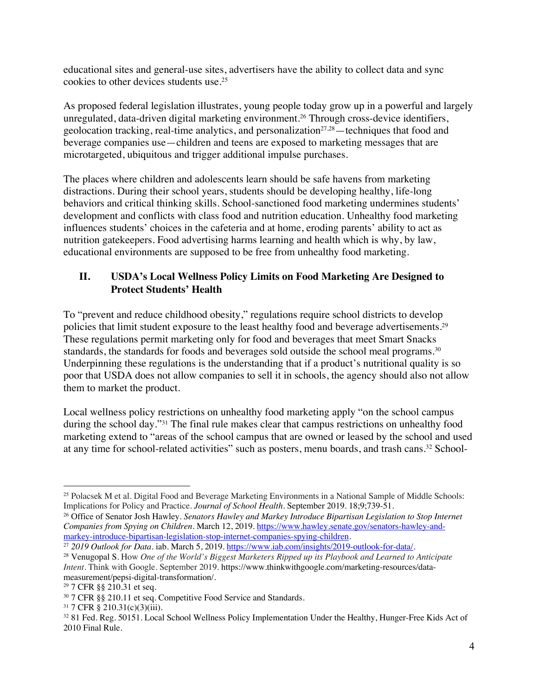educational sites and general-use sites, advertisers have the ability to collect data and sync cookies to other devices students use. 25

As proposed federal legislation illustrates, young people today grow up in a powerful and largely unregulated, data-driven digital marketing environment.26 Through cross-device identifiers, geolocation tracking, real-time analytics, and personalization<sup>27,28</sup>—techniques that food and beverage companies use—children and teens are exposed to marketing messages that are microtargeted, ubiquitous and trigger additional impulse purchases.

The places where children and adolescents learn should be safe havens from marketing distractions. During their school years, students should be developing healthy, life-long behaviors and critical thinking skills. School-sanctioned food marketing undermines students' development and conflicts with class food and nutrition education. Unhealthy food marketing influences students' choices in the cafeteria and at home, eroding parents' ability to act as nutrition gatekeepers. Food advertising harms learning and health which is why, by law, educational environments are supposed to be free from unhealthy food marketing.

## **II. USDA's Local Wellness Policy Limits on Food Marketing Are Designed to Protect Students' Health**

To "prevent and reduce childhood obesity," regulations require school districts to develop policies that limit student exposure to the least healthy food and beverage advertisements.29 These regulations permit marketing only for food and beverages that meet Smart Snacks standards, the standards for foods and beverages sold outside the school meal programs.<sup>30</sup> Underpinning these regulations is the understanding that if a product's nutritional quality is so poor that USDA does not allow companies to sell it in schools, the agency should also not allow them to market the product.

Local wellness policy restrictions on unhealthy food marketing apply "on the school campus during the school day."31 The final rule makes clear that campus restrictions on unhealthy food marketing extend to "areas of the school campus that are owned or leased by the school and used at any time for school-related activities" such as posters, menu boards, and trash cans. <sup>32</sup> School-

<sup>27</sup> 2019 Outlook for Data. iab. March 5, 2019. https://www.iab.com/insights/2019-outlook-for-data/.

<sup>25</sup> Polacsek M et al. Digital Food and Beverage Marketing Environments in a National Sample of Middle Schools: Implications for Policy and Practice. *Journal of School Health*. September 2019. 18;9;739-51.

<sup>26</sup> Office of Senator Josh Hawley. *Senators Hawley and Markey Introduce Bipartisan Legislation to Stop Internet Companies from Spying on Children*. March 12, 2019. https://www.hawley.senate.gov/senators-hawley-andmarkey-introduce-bipartisan-legislation-stop-internet-companies-spying-children.

<sup>28</sup> Venugopal S. How *One of the World's Biggest Marketers Ripped up its Playbook and Learned to Anticipate Intent*. Think with Google. September 2019. https://www.thinkwithgoogle.com/marketing-resources/datameasurement/pepsi-digital-transformation/.

<sup>29</sup> 7 CFR §§ 210.31 et seq.

<sup>30</sup> 7 CFR §§ 210.11 et seq. Competitive Food Service and Standards.

<sup>&</sup>lt;sup>31</sup> 7 CFR § 210.31(c)(3)(iii).<br><sup>32</sup> 81 Fed. Reg. 50151. Local School Wellness Policy Implementation Under the Healthy, Hunger-Free Kids Act of 2010 Final Rule.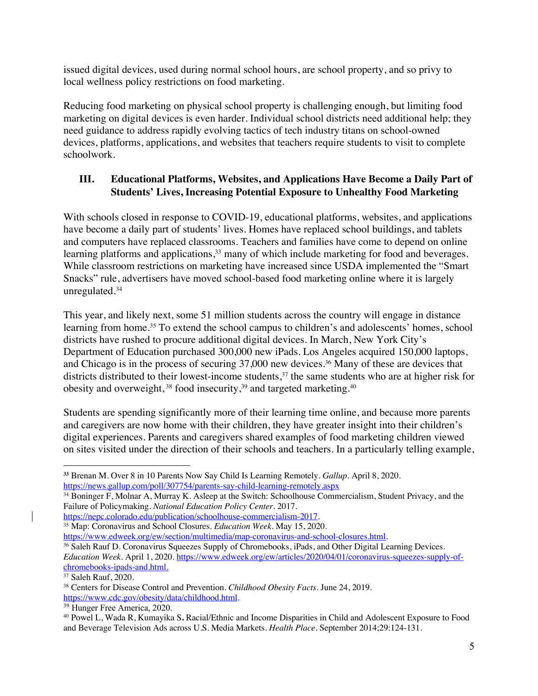issued digital devices, used during normal school hours, are school property, and so privy to local wellness policy restrictions on food marketing.

Reducing food marketing on physical school property is challenging enough, but limiting food marketing on digital devices is even harder. Individual school districts need additional help; they need guidance to address rapidly evolving tactics of tech industry titans on school-owned devices, platforms, applications, and websites that teachers require students to visit to complete schoolwork.

# **III. Educational Platforms, Websites, and Applications Have Become a Daily Part of Students' Lives, Increasing Potential Exposure to Unhealthy Food Marketing**

With schools closed in response to COVID-19, educational platforms, websites, and applications have become a daily part of students' lives. Homes have replaced school buildings, and tablets and computers have replaced classrooms. Teachers and families have come to depend on online learning platforms and applications,<sup>33</sup> many of which include marketing for food and beverages. While classroom restrictions on marketing have increased since USDA implemented the "Smart Snacks" rule, advertisers have moved school-based food marketing online where it is largely unregulated.34

This year, and likely next, some 51 million students across the country will engage in distance learning from home.<sup>35</sup> To extend the school campus to children's and adolescents' homes, school districts have rushed to procure additional digital devices. In March, New York City's Department of Education purchased 300,000 new iPads. Los Angeles acquired 150,000 laptops, and Chicago is in the process of securing 37,000 new devices.<sup>36</sup> Many of these are devices that districts distributed to their lowest-income students,<sup>37</sup> the same students who are at higher risk for obesity and overweight,<sup>38</sup> food insecurity,<sup>39</sup> and targeted marketing.<sup>40</sup>

Students are spending significantly more of their learning time online, and because more parents and caregivers are now home with their children, they have greater insight into their children's digital experiences. Parents and caregivers shared examples of food marketing children viewed on sites visited under the direction of their schools and teachers. In a particularly telling example,

**<sup>33</sup>** Brenan M. Over 8 in 10 Parents Now Say Child Is Learning Remotely. *Gallup*. April 8, 2020. https://news.gallup.com/poll/307754/parents-say-child-learning-remotely.aspx

<sup>34</sup> Boninger F, Molnar A, Murray K. Asleep at the Switch: Schoolhouse Commercialism, Student Privacy, and the Failure of Policymaking. *National Education Policy Center*. 2017.<br>
https://nepc.colorado.edu/publication/schoolhouse-commercialism-2017.

<sup>&</sup>lt;sup>35</sup> Map: Coronavirus and School Closures. *Education Week*. May 15, 2020.<br>https://www.edweek.org/ew/section/multimedia/map-coronavirus-and-school-closures.html.

<sup>&</sup>lt;sup>36</sup> Saleh Rauf D. Coronavirus Squeezes Supply of Chromebooks, iPads, and Other Digital Learning Devices. *Education Week*. April 1, 2020. https://www.edweek.org/ew/articles/2020/04/01/coronavirus-squeezes-supply-ofchromebooks-ipads-and.html.

<sup>37</sup> Saleh Rauf, 2020.

<sup>38</sup> Centers for Disease Control and Prevention. *Childhood Obesity Facts*. June 24, 2019. https://www.cdc.gov/obesity/data/childhood.html.

<sup>39</sup> Hunger Free America, 2020.

<sup>40</sup> Powel L, Wada R, Kumayika S**.** Racial/Ethnic and Income Disparities in Child and Adolescent Exposure to Food and Beverage Television Ads across U.S. Media Markets. *Health Place*. September 2014;29:124-131.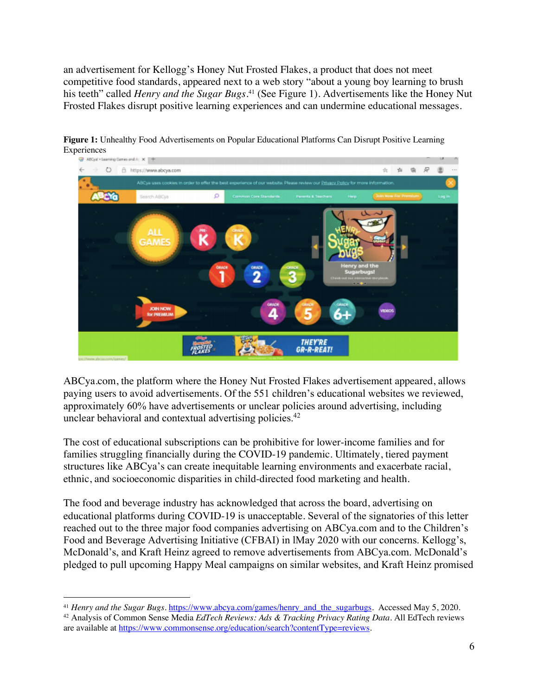an advertisement for Kellogg's Honey Nut Frosted Flakes, a product that does not meet competitive food standards, appeared next to a web story "about a young boy learning to brush his teeth" called *Henry and the Sugar Bugs.*<sup>41</sup> (See Figure 1). Advertisements like the Honey Nut Frosted Flakes disrupt positive learning experiences and can undermine educational messages.



**Figure 1:** Unhealthy Food Advertisements on Popular Educational Platforms Can Disrupt Positive Learning Experiences<br>  $\bullet$  ABCsat - Learning Cares and A  $\times$  +

ABCya.com, the platform where the Honey Nut Frosted Flakes advertisement appeared, allows paying users to avoid advertisements. Of the 551 children's educational websites we reviewed, approximately 60% have advertisements or unclear policies around advertising, including unclear behavioral and contextual advertising policies.<sup>42</sup>

The cost of educational subscriptions can be prohibitive for lower-income families and for families struggling financially during the COVID-19 pandemic. Ultimately, tiered payment structures like ABCya's can create inequitable learning environments and exacerbate racial, ethnic, and socioeconomic disparities in child-directed food marketing and health.

The food and beverage industry has acknowledged that across the board, advertising on educational platforms during COVID-19 is unacceptable. Several of the signatories of this letter reached out to the three major food companies advertising on ABCya.com and to the Children's Food and Beverage Advertising Initiative (CFBAI) in lMay 2020 with our concerns. Kellogg's, McDonald's, and Kraft Heinz agreed to remove advertisements from ABCya.com. McDonald's pledged to pull upcoming Happy Meal campaigns on similar websites, and Kraft Heinz promised

<sup>&</sup>lt;sup>41</sup> *Henry and the Sugar Bugs*. https://www.abcya.com/games/henry\_and\_the\_sugarbugs. Accessed May 5, 2020. <sup>42</sup> Analysis of Common Sense Media *EdTech Reviews: Ads & Tracking Privacy Rating Data*. All EdTech reviews

are available at https://www.commonsense.org/education/search?contentType=reviews.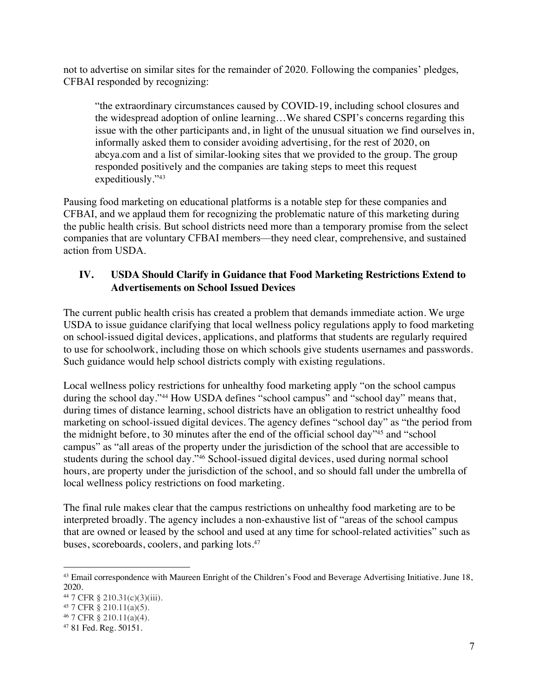not to advertise on similar sites for the remainder of 2020. Following the companies' pledges, CFBAI responded by recognizing:

"the extraordinary circumstances caused by COVID-19, including school closures and the widespread adoption of online learning…We shared CSPI's concerns regarding this issue with the other participants and, in light of the unusual situation we find ourselves in, informally asked them to consider avoiding advertising, for the rest of 2020, on abcya.com and a list of similar-looking sites that we provided to the group. The group responded positively and the companies are taking steps to meet this request expeditiously."43

Pausing food marketing on educational platforms is a notable step for these companies and CFBAI, and we applaud them for recognizing the problematic nature of this marketing during the public health crisis. But school districts need more than a temporary promise from the select companies that are voluntary CFBAI members—they need clear, comprehensive, and sustained action from USDA.

## **IV. USDA Should Clarify in Guidance that Food Marketing Restrictions Extend to Advertisements on School Issued Devices**

The current public health crisis has created a problem that demands immediate action. We urge USDA to issue guidance clarifying that local wellness policy regulations apply to food marketing on school-issued digital devices, applications, and platforms that students are regularly required to use for schoolwork, including those on which schools give students usernames and passwords. Such guidance would help school districts comply with existing regulations.

Local wellness policy restrictions for unhealthy food marketing apply "on the school campus during the school day."<sup>44</sup> How USDA defines "school campus" and "school day" means that, during times of distance learning, school districts have an obligation to restrict unhealthy food marketing on school-issued digital devices. The agency defines "school day" as "the period from the midnight before, to 30 minutes after the end of the official school day"45 and "school campus" as "all areas of the property under the jurisdiction of the school that are accessible to students during the school day."46 School-issued digital devices, used during normal school hours, are property under the jurisdiction of the school, and so should fall under the umbrella of local wellness policy restrictions on food marketing.

The final rule makes clear that the campus restrictions on unhealthy food marketing are to be interpreted broadly. The agency includes a non-exhaustive list of "areas of the school campus that are owned or leased by the school and used at any time for school-related activities" such as buses, scoreboards, coolers, and parking lots.47

<sup>43</sup> Email correspondence with Maureen Enright of the Children's Food and Beverage Advertising Initiative. June 18, 2020.

<sup>44</sup> 7 CFR § 210.31(c)(3)(iii). 45 7 CFR § 210.11(a)(5).

<sup>46</sup> 7 CFR § 210.11(a)(4). 47 81 Fed. Reg. 50151.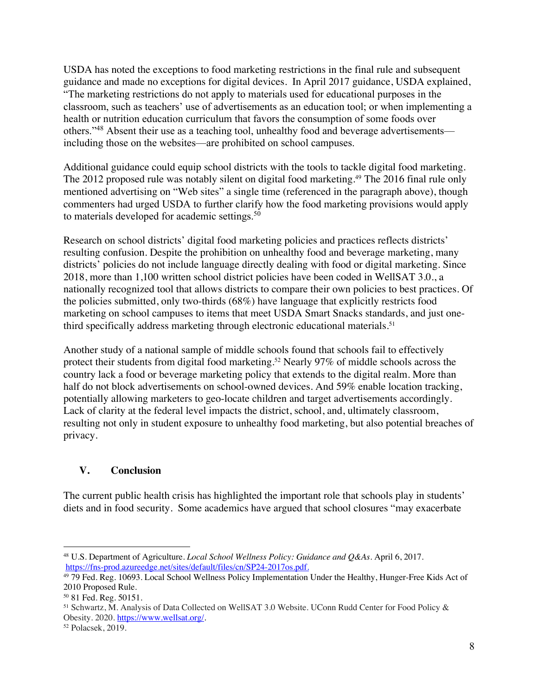USDA has noted the exceptions to food marketing restrictions in the final rule and subsequent guidance and made no exceptions for digital devices. In April 2017 guidance, USDA explained, "The marketing restrictions do not apply to materials used for educational purposes in the classroom, such as teachers' use of advertisements as an education tool; or when implementing a health or nutrition education curriculum that favors the consumption of some foods over others."48 Absent their use as a teaching tool, unhealthy food and beverage advertisements including those on the websites—are prohibited on school campuses.

Additional guidance could equip school districts with the tools to tackle digital food marketing. The 2012 proposed rule was notably silent on digital food marketing.49 The 2016 final rule only mentioned advertising on "Web sites" a single time (referenced in the paragraph above), though commenters had urged USDA to further clarify how the food marketing provisions would apply to materials developed for academic settings.<sup>50</sup>

Research on school districts' digital food marketing policies and practices reflects districts' resulting confusion. Despite the prohibition on unhealthy food and beverage marketing, many districts' policies do not include language directly dealing with food or digital marketing. Since 2018, more than 1,100 written school district policies have been coded in WellSAT 3.0., a nationally recognized tool that allows districts to compare their own policies to best practices. Of the policies submitted, only two-thirds (68%) have language that explicitly restricts food marketing on school campuses to items that meet USDA Smart Snacks standards, and just onethird specifically address marketing through electronic educational materials. 51

Another study of a national sample of middle schools found that schools fail to effectively protect their students from digital food marketing.52 Nearly 97% of middle schools across the country lack a food or beverage marketing policy that extends to the digital realm. More than half do not block advertisements on school-owned devices. And 59% enable location tracking, potentially allowing marketers to geo-locate children and target advertisements accordingly. Lack of clarity at the federal level impacts the district, school, and, ultimately classroom, resulting not only in student exposure to unhealthy food marketing, but also potential breaches of privacy.

# **V. Conclusion**

The current public health crisis has highlighted the important role that schools play in students' diets and in food security. Some academics have argued that school closures "may exacerbate

<sup>48</sup> U.S. Department of Agriculture. *Local School Wellness Policy: Guidance and Q&As*. April 6, 2017. https://fns-prod.azureedge.net/sites/default/files/cn/SP24-2017os.pdf.

<sup>49</sup> 79 Fed. Reg. 10693. Local School Wellness Policy Implementation Under the Healthy, Hunger-Free Kids Act of 2010 Proposed Rule.

<sup>50</sup> 81 Fed. Reg. 50151.

<sup>51</sup> Schwartz, M. Analysis of Data Collected on WellSAT 3.0 Website. UConn Rudd Center for Food Policy & Obesity. 2020. https://www.wellsat.org/.<br><sup>52</sup> Polacsek, 2019.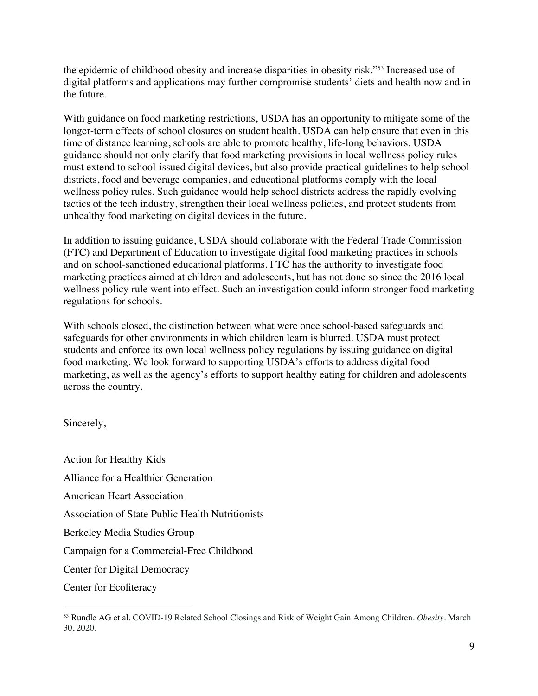the epidemic of childhood obesity and increase disparities in obesity risk."53 Increased use of digital platforms and applications may further compromise students' diets and health now and in the future.

With guidance on food marketing restrictions, USDA has an opportunity to mitigate some of the longer-term effects of school closures on student health. USDA can help ensure that even in this time of distance learning, schools are able to promote healthy, life-long behaviors. USDA guidance should not only clarify that food marketing provisions in local wellness policy rules must extend to school-issued digital devices, but also provide practical guidelines to help school districts, food and beverage companies, and educational platforms comply with the local wellness policy rules. Such guidance would help school districts address the rapidly evolving tactics of the tech industry, strengthen their local wellness policies, and protect students from unhealthy food marketing on digital devices in the future.

In addition to issuing guidance, USDA should collaborate with the Federal Trade Commission (FTC) and Department of Education to investigate digital food marketing practices in schools and on school-sanctioned educational platforms. FTC has the authority to investigate food marketing practices aimed at children and adolescents, but has not done so since the 2016 local wellness policy rule went into effect. Such an investigation could inform stronger food marketing regulations for schools.

With schools closed, the distinction between what were once school-based safeguards and safeguards for other environments in which children learn is blurred. USDA must protect students and enforce its own local wellness policy regulations by issuing guidance on digital food marketing. We look forward to supporting USDA's efforts to address digital food marketing, as well as the agency's efforts to support healthy eating for children and adolescents across the country.

Sincerely,

Action for Healthy Kids Alliance for a Healthier Generation American Heart Association Association of State Public Health Nutritionists Berkeley Media Studies Group Campaign for a Commercial-Free Childhood Center for Digital Democracy Center for Ecoliteracy

<sup>53</sup> Rundle AG et al. COVID-19 Related School Closings and Risk of Weight Gain Among Children. *Obesity*. March 30, 2020.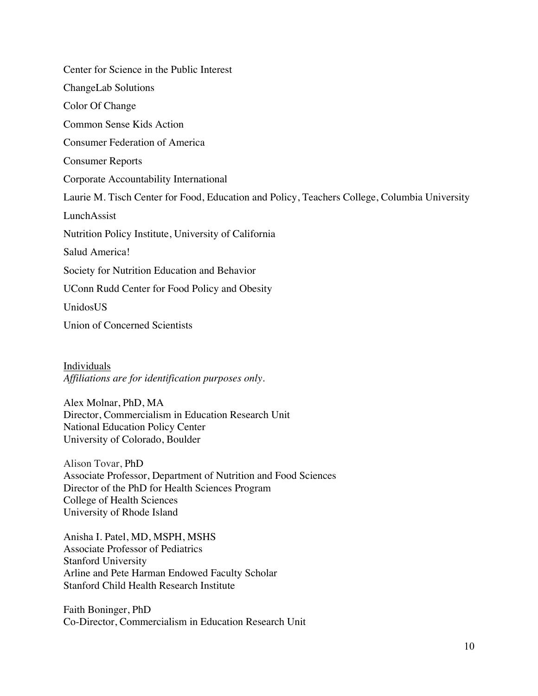Center for Science in the Public Interest ChangeLab Solutions Color Of Change Common Sense Kids Action Consumer Federation of America Consumer Reports Corporate Accountability International Laurie M. Tisch Center for Food, Education and Policy, Teachers College, Columbia University LunchAssist Nutrition Policy Institute, University of California Salud America! Society for Nutrition Education and Behavior UConn Rudd Center for Food Policy and Obesity UnidosUS

Union of Concerned Scientists

Individuals *Affiliations are for identification purposes only*.

Alex Molnar, PhD, MA Director, Commercialism in Education Research Unit National Education Policy Center University of Colorado, Boulder

Alison Tovar, PhD Associate Professor, Department of Nutrition and Food Sciences Director of the PhD for Health Sciences Program College of Health Sciences University of Rhode Island

Anisha I. Patel, MD, MSPH, MSHS Associate Professor of Pediatrics Stanford University Arline and Pete Harman Endowed Faculty Scholar Stanford Child Health Research Institute

Faith Boninger, PhD Co-Director, Commercialism in Education Research Unit